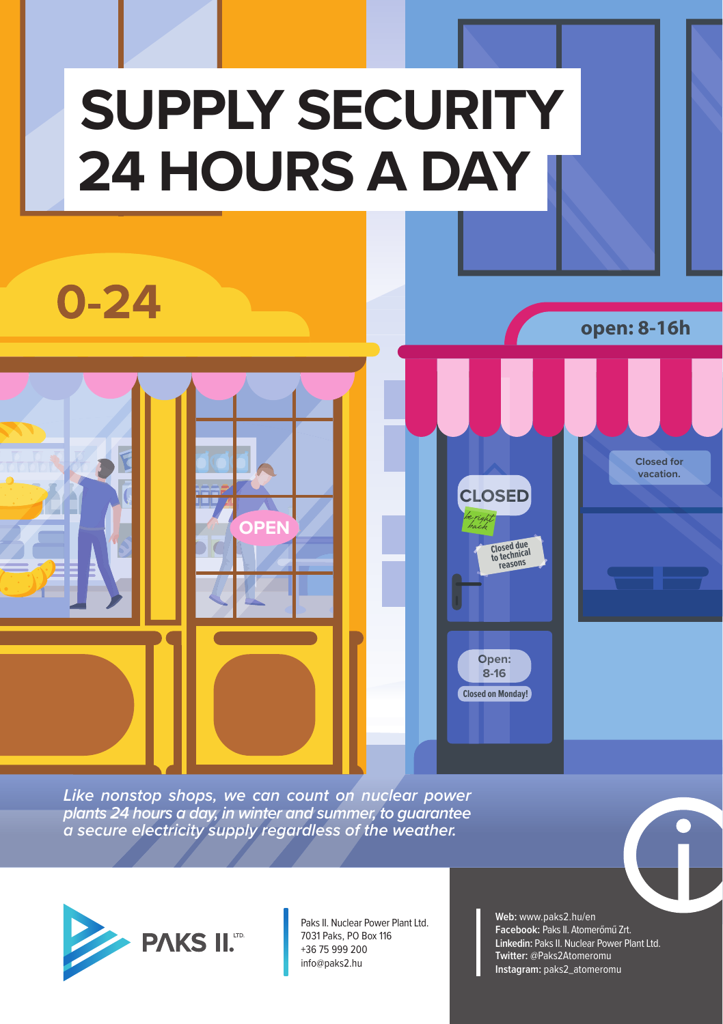## **SUPPLY SECURITY 24 HOURS A DAY**

 $0 - 24$ 

**open: 8-16h**

**Closed for vacation.**

*Like nonstop shops, we can count on nuclear power plants 24 hours a day, in winter and summer, to guarantee a secure electricity supply regardless of the weather.*

**OPEN**



Paks II. Nuclear Power Plant Ltd. 7031 Paks, PO Box 116 +36 75 999 200 info@paks2.hu

**Web:** www.paks2.hu/en **Facebook:** Paks II. Atomerőmű Zrt. **Linkedin:** Paks II. Nuclear Power Plant Ltd. **Twitter:** @Paks2Atomeromu **Instagram:** paks2\_atomeromu

**CLOSED OSE CL**

be right back

**Closed due to technical reasons**

**Open: O 8-16**

**Closed on Monday!**